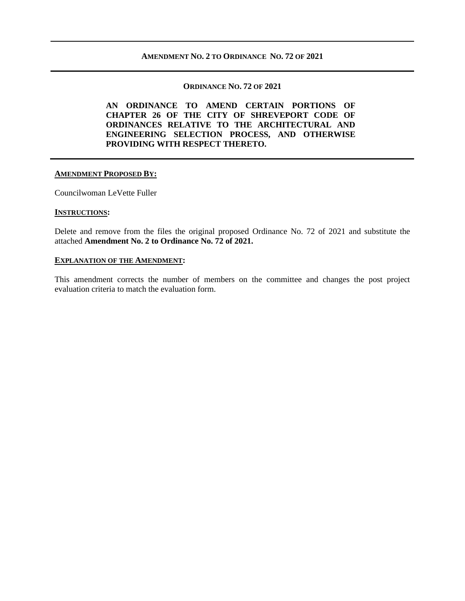### **AMENDMENT NO. 2 TO ORDINANCE NO. 72 OF 2021**

#### **ORDINANCE NO. 72 OF 2021**

# **AN ORDINANCE TO AMEND CERTAIN PORTIONS OF CHAPTER 26 OF THE CITY OF SHREVEPORT CODE OF ORDINANCES RELATIVE TO THE ARCHITECTURAL AND ENGINEERING SELECTION PROCESS, AND OTHERWISE PROVIDING WITH RESPECT THERETO.**

### **AMENDMENT PROPOSED BY:**

Councilwoman LeVette Fuller

#### **INSTRUCTIONS:**

Delete and remove from the files the original proposed Ordinance No. 72 of 2021 and substitute the attached **Amendment No. 2 to Ordinance No. 72 of 2021.**

#### **EXPLANATION OF THE AMENDMENT:**

This amendment corrects the number of members on the committee and changes the post project evaluation criteria to match the evaluation form.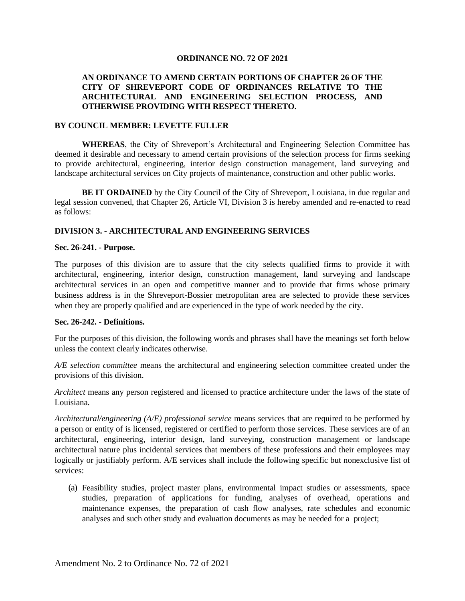## **ORDINANCE NO. 72 OF 2021**

# **AN ORDINANCE TO AMEND CERTAIN PORTIONS OF CHAPTER 26 OF THE CITY OF SHREVEPORT CODE OF ORDINANCES RELATIVE TO THE ARCHITECTURAL AND ENGINEERING SELECTION PROCESS, AND OTHERWISE PROVIDING WITH RESPECT THERETO.**

## **BY COUNCIL MEMBER: LEVETTE FULLER**

**WHEREAS**, the City of Shreveport's Architectural and Engineering Selection Committee has deemed it desirable and necessary to amend certain provisions of the selection process for firms seeking to provide architectural, engineering, interior design construction management, land surveying and landscape architectural services on City projects of maintenance, construction and other public works.

**BE IT ORDAINED** by the City Council of the City of Shreveport, Louisiana, in due regular and legal session convened, that Chapter 26, Article VI, Division 3 is hereby amended and re-enacted to read as follows:

## **DIVISION 3. - ARCHITECTURAL AND ENGINEERING SERVICES**

#### **Sec. 26-241. - Purpose.**

The purposes of this division are to assure that the city selects qualified firms to provide it with architectural, engineering, interior design, construction management, land surveying and landscape architectural services in an open and competitive manner and to provide that firms whose primary business address is in the Shreveport-Bossier metropolitan area are selected to provide these services when they are properly qualified and are experienced in the type of work needed by the city.

### **Sec. 26-242. - Definitions.**

For the purposes of this division, the following words and phrases shall have the meanings set forth below unless the context clearly indicates otherwise.

*A/E selection committee* means the architectural and engineering selection committee created under the provisions of this division.

*Architect* means any person registered and licensed to practice architecture under the laws of the state of Louisiana.

*Architectural/engineering (A/E) professional service* means services that are required to be performed by a person or entity of is licensed, registered or certified to perform those services. These services are of an architectural, engineering, interior design, land surveying, construction management or landscape architectural nature plus incidental services that members of these professions and their employees may logically or justifiably perform. A/E services shall include the following specific but nonexclusive list of services:

(a) Feasibility studies, project master plans, environmental impact studies or assessments, space studies, preparation of applications for funding, analyses of overhead, operations and maintenance expenses, the preparation of cash flow analyses, rate schedules and economic analyses and such other study and evaluation documents as may be needed for a project;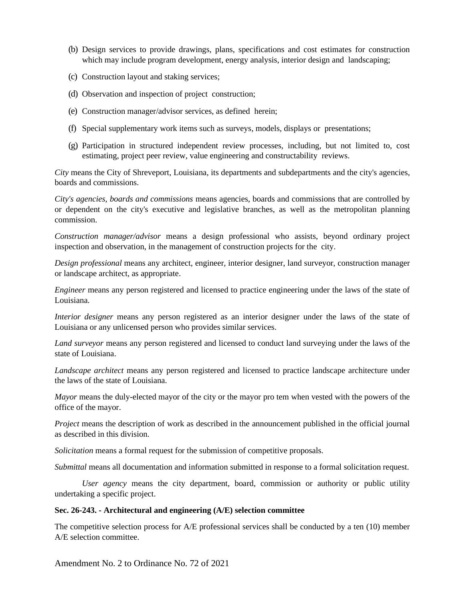- (b) Design services to provide drawings, plans, specifications and cost estimates for construction which may include program development, energy analysis, interior design and landscaping;
- (c) Construction layout and staking services;
- (d) Observation and inspection of project construction;
- (e) Construction manager/advisor services, as defined herein;
- (f) Special supplementary work items such as surveys, models, displays or presentations;
- (g) Participation in structured independent review processes, including, but not limited to, cost estimating, project peer review, value engineering and constructability reviews.

*City* means the City of Shreveport, Louisiana, its departments and subdepartments and the city's agencies, boards and commissions.

*City's agencies, boards and commissions* means agencies, boards and commissions that are controlled by or dependent on the city's executive and legislative branches, as well as the metropolitan planning commission.

*Construction manager/advisor* means a design professional who assists, beyond ordinary project inspection and observation, in the management of construction projects for the city.

*Design professional* means any architect, engineer, interior designer, land surveyor, construction manager or landscape architect, as appropriate.

*Engineer* means any person registered and licensed to practice engineering under the laws of the state of Louisiana.

*Interior designer* means any person registered as an interior designer under the laws of the state of Louisiana or any unlicensed person who provides similar services.

*Land surveyor* means any person registered and licensed to conduct land surveying under the laws of the state of Louisiana.

*Landscape architect* means any person registered and licensed to practice landscape architecture under the laws of the state of Louisiana.

*Mayor* means the duly-elected mayor of the city or the mayor pro tem when vested with the powers of the office of the mayor.

*Project* means the description of work as described in the announcement published in the official journal as described in this division.

*Solicitation* means a formal request for the submission of competitive proposals.

*Submittal* means all documentation and information submitted in response to a formal solicitation request.

*User agency* means the city department, board, commission or authority or public utility undertaking a specific project.

## **Sec. 26-243. - Architectural and engineering (A/E) selection committee**

The competitive selection process for A/E professional services shall be conducted by a ten (10) member A/E selection committee.

Amendment No. 2 to Ordinance No. 72 of 2021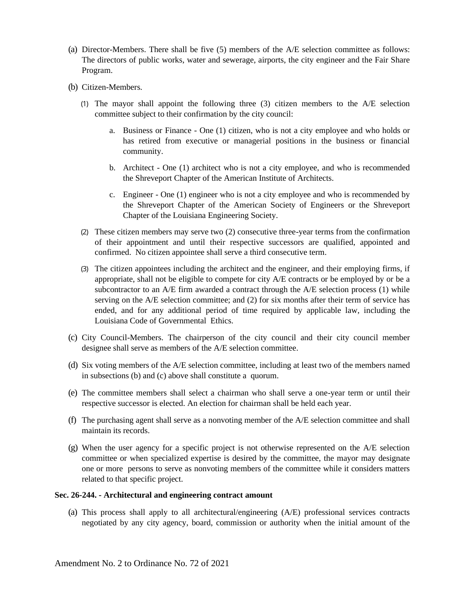- (a) Director-Members. There shall be five (5) members of the A/E selection committee as follows: The directors of public works, water and sewerage, airports, the city engineer and the Fair Share Program.
- (b) Citizen-Members.
	- (1) The mayor shall appoint the following three (3) citizen members to the A/E selection committee subject to their confirmation by the city council:
		- a. Business or Finance One (1) citizen, who is not a city employee and who holds or has retired from executive or managerial positions in the business or financial community.
		- b. Architect One (1) architect who is not a city employee, and who is recommended the Shreveport Chapter of the American Institute of Architects.
		- c. Engineer One (1) engineer who is not a city employee and who is recommended by the Shreveport Chapter of the American Society of Engineers or the Shreveport Chapter of the Louisiana Engineering Society.
	- (2) These citizen members may serve two (2) consecutive three-year terms from the confirmation of their appointment and until their respective successors are qualified, appointed and confirmed. No citizen appointee shall serve a third consecutive term.
	- (3) The citizen appointees including the architect and the engineer, and their employing firms, if appropriate, shall not be eligible to compete for city A/E contracts or be employed by or be a subcontractor to an A/E firm awarded a contract through the A/E selection process (1) while serving on the A/E selection committee; and (2) for six months after their term of service has ended, and for any additional period of time required by applicable law, including the Louisiana Code of Governmental Ethics.
- (c) City Council-Members. The chairperson of the city council and their city council member designee shall serve as members of the A/E selection committee.
- (d) Six voting members of the A/E selection committee, including at least two of the members named in subsections (b) and (c) above shall constitute a quorum.
- (e) The committee members shall select a chairman who shall serve a one-year term or until their respective successor is elected. An election for chairman shall be held each year.
- (f) The purchasing agent shall serve as a nonvoting member of the A/E selection committee and shall maintain its records.
- (g) When the user agency for a specific project is not otherwise represented on the A/E selection committee or when specialized expertise is desired by the committee, the mayor may designate one or more persons to serve as nonvoting members of the committee while it considers matters related to that specific project.

### **Sec. 26-244. - Architectural and engineering contract amount**

(a) This process shall apply to all architectural/engineering (A/E) professional services contracts negotiated by any city agency, board, commission or authority when the initial amount of the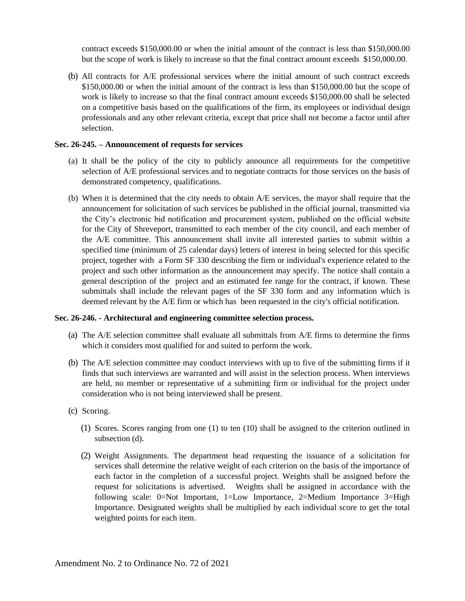contract exceeds \$150,000.00 or when the initial amount of the contract is less than \$150,000.00 but the scope of work is likely to increase so that the final contract amount exceeds \$150,000.00.

(b) All contracts for A/E professional services where the initial amount of such contract exceeds \$150,000.00 or when the initial amount of the contract is less than \$150,000.00 but the scope of work is likely to increase so that the final contract amount exceeds \$150,000.00 shall be selected on a competitive basis based on the qualifications of the firm, its employees or individual design professionals and any other relevant criteria, except that price shall not become a factor until after selection.

# **Sec. 26-245. – Announcement of requests for services**

- (a) It shall be the policy of the city to publicly announce all requirements for the competitive selection of A/E professional services and to negotiate contracts for those services on the basis of demonstrated competency, qualifications.
- (b) When it is determined that the city needs to obtain A/E services, the mayor shall require that the announcement for solicitation of such services be published in the official journal, transmitted via the City's electronic bid notification and procurement system, published on the official website for the City of Shreveport, transmitted to each member of the city council, and each member of the A/E committee. This announcement shall invite all interested parties to submit within a specified time (minimum of 25 calendar days) letters of interest in being selected for this specific project, together with a Form SF 330 describing the firm or individual's experience related to the project and such other information as the announcement may specify. The notice shall contain a general description of the project and an estimated fee range for the contract, if known. These submittals shall include the relevant pages of the SF 330 form and any information which is deemed relevant by the A/E firm or which has been requested in the city's official notification.

### **Sec. 26-246. - Architectural and engineering committee selection process.**

- (a) The A/E selection committee shall evaluate all submittals from A/E firms to determine the firms which it considers most qualified for and suited to perform the work.
- (b) The A/E selection committee may conduct interviews with up to five of the submitting firms if it finds that such interviews are warranted and will assist in the selection process. When interviews are held, no member or representative of a submitting firm or individual for the project under consideration who is not being interviewed shall be present.
- (c) Scoring.
	- (1) Scores. Scores ranging from one (1) to ten (10) shall be assigned to the criterion outlined in subsection (d).
	- (2) Weight Assignments. The department head requesting the issuance of a solicitation for services shall determine the relative weight of each criterion on the basis of the importance of each factor in the completion of a successful project. Weights shall be assigned before the request for solicitations is advertised. Weights shall be assigned in accordance with the following scale: 0=Not Important, 1=Low Importance, 2=Medium Importance 3=High Importance. Designated weights shall be multiplied by each individual score to get the total weighted points for each item.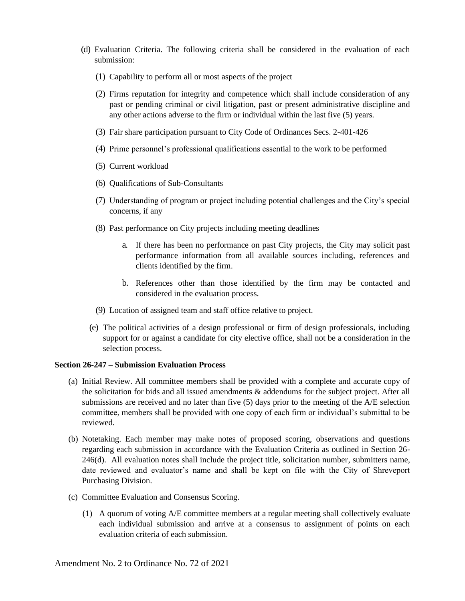- (d) Evaluation Criteria. The following criteria shall be considered in the evaluation of each submission:
	- (1) Capability to perform all or most aspects of the project
	- (2) Firms reputation for integrity and competence which shall include consideration of any past or pending criminal or civil litigation, past or present administrative discipline and any other actions adverse to the firm or individual within the last five (5) years.
	- (3) Fair share participation pursuant to City Code of Ordinances Secs. 2-401-426
	- (4) Prime personnel's professional qualifications essential to the work to be performed
	- (5) Current workload
	- (6) Qualifications of Sub-Consultants
	- (7) Understanding of program or project including potential challenges and the City's special concerns, if any
	- (8) Past performance on City projects including meeting deadlines
		- a. If there has been no performance on past City projects, the City may solicit past performance information from all available sources including, references and clients identified by the firm.
		- b. References other than those identified by the firm may be contacted and considered in the evaluation process.
	- (9) Location of assigned team and staff office relative to project.
	- (e) The political activities of a design professional or firm of design professionals, including support for or against a candidate for city elective office, shall not be a consideration in the selection process.

### **Section 26-247 – Submission Evaluation Process**

- (a) Initial Review. All committee members shall be provided with a complete and accurate copy of the solicitation for bids and all issued amendments & addendums for the subject project. After all submissions are received and no later than five (5) days prior to the meeting of the A/E selection committee, members shall be provided with one copy of each firm or individual's submittal to be reviewed.
- (b) Notetaking. Each member may make notes of proposed scoring, observations and questions regarding each submission in accordance with the Evaluation Criteria as outlined in Section 26- 246(d). All evaluation notes shall include the project title, solicitation number, submitters name, date reviewed and evaluator's name and shall be kept on file with the City of Shreveport Purchasing Division.
- (c) Committee Evaluation and Consensus Scoring.
	- (1) A quorum of voting A/E committee members at a regular meeting shall collectively evaluate each individual submission and arrive at a consensus to assignment of points on each evaluation criteria of each submission.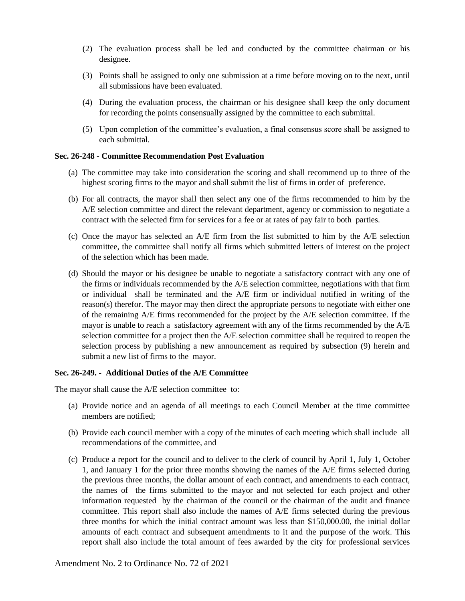- (2) The evaluation process shall be led and conducted by the committee chairman or his designee.
- (3) Points shall be assigned to only one submission at a time before moving on to the next, until all submissions have been evaluated.
- (4) During the evaluation process, the chairman or his designee shall keep the only document for recording the points consensually assigned by the committee to each submittal.
- (5) Upon completion of the committee's evaluation, a final consensus score shall be assigned to each submittal.

# **Sec. 26-248 - Committee Recommendation Post Evaluation**

- (a) The committee may take into consideration the scoring and shall recommend up to three of the highest scoring firms to the mayor and shall submit the list of firms in order of preference.
- (b) For all contracts, the mayor shall then select any one of the firms recommended to him by the A/E selection committee and direct the relevant department, agency or commission to negotiate a contract with the selected firm for services for a fee or at rates of pay fair to both parties.
- (c) Once the mayor has selected an A/E firm from the list submitted to him by the A/E selection committee, the committee shall notify all firms which submitted letters of interest on the project of the selection which has been made.
- (d) Should the mayor or his designee be unable to negotiate a satisfactory contract with any one of the firms or individuals recommended by the A/E selection committee, negotiations with that firm or individual shall be terminated and the A/E firm or individual notified in writing of the reason(s) therefor. The mayor may then direct the appropriate persons to negotiate with either one of the remaining A/E firms recommended for the project by the A/E selection committee. If the mayor is unable to reach a satisfactory agreement with any of the firms recommended by the A/E selection committee for a project then the A/E selection committee shall be required to reopen the selection process by publishing a new announcement as required by subsection (9) herein and submit a new list of firms to the mayor.

#### **Sec. 26-249. - Additional Duties of the A/E Committee**

The mayor shall cause the A/E selection committee to:

- (a) Provide notice and an agenda of all meetings to each Council Member at the time committee members are notified;
- (b) Provide each council member with a copy of the minutes of each meeting which shall include all recommendations of the committee, and
- (c) Produce a report for the council and to deliver to the clerk of council by April 1, July 1, October 1, and January 1 for the prior three months showing the names of the A/E firms selected during the previous three months, the dollar amount of each contract, and amendments to each contract, the names of the firms submitted to the mayor and not selected for each project and other information requested by the chairman of the council or the chairman of the audit and finance committee. This report shall also include the names of A/E firms selected during the previous three months for which the initial contract amount was less than \$150,000.00, the initial dollar amounts of each contract and subsequent amendments to it and the purpose of the work. This report shall also include the total amount of fees awarded by the city for professional services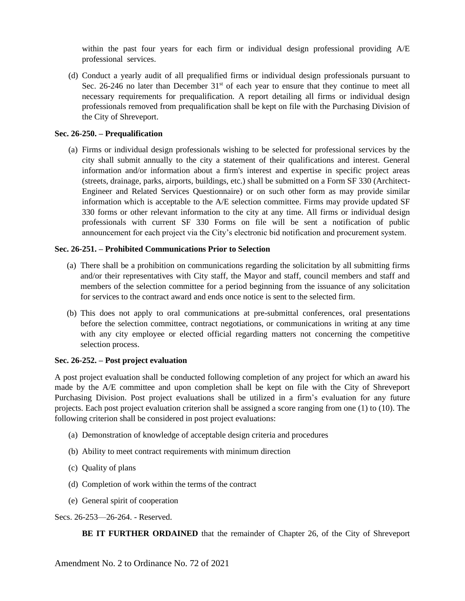within the past four years for each firm or individual design professional providing A/E professional services.

(d) Conduct a yearly audit of all prequalified firms or individual design professionals pursuant to Sec. 26-246 no later than December  $31<sup>st</sup>$  of each year to ensure that they continue to meet all necessary requirements for prequalification. A report detailing all firms or individual design professionals removed from prequalification shall be kept on file with the Purchasing Division of the City of Shreveport.

# **Sec. 26-250. – Prequalification**

(a) Firms or individual design professionals wishing to be selected for professional services by the city shall submit annually to the city a statement of their qualifications and interest. General information and/or information about a firm's interest and expertise in specific project areas (streets, drainage, parks, airports, buildings, etc.) shall be submitted on a Form SF 330 (Architect-Engineer and Related Services Questionnaire) or on such other form as may provide similar information which is acceptable to the A/E selection committee. Firms may provide updated SF 330 forms or other relevant information to the city at any time. All firms or individual design professionals with current SF 330 Forms on file will be sent a notification of public announcement for each project via the City's electronic bid notification and procurement system.

# **Sec. 26-251. – Prohibited Communications Prior to Selection**

- (a) There shall be a prohibition on communications regarding the solicitation by all submitting firms and/or their representatives with City staff, the Mayor and staff, council members and staff and members of the selection committee for a period beginning from the issuance of any solicitation for services to the contract award and ends once notice is sent to the selected firm.
- (b) This does not apply to oral communications at pre-submittal conferences, oral presentations before the selection committee, contract negotiations, or communications in writing at any time with any city employee or elected official regarding matters not concerning the competitive selection process.

# **Sec. 26-252. – Post project evaluation**

A post project evaluation shall be conducted following completion of any project for which an award his made by the A/E committee and upon completion shall be kept on file with the City of Shreveport Purchasing Division. Post project evaluations shall be utilized in a firm's evaluation for any future projects. Each post project evaluation criterion shall be assigned a score ranging from one (1) to (10). The following criterion shall be considered in post project evaluations:

- (a) Demonstration of knowledge of acceptable design criteria and procedures
- (b) Ability to meet contract requirements with minimum direction
- (c) Quality of plans
- (d) Completion of work within the terms of the contract
- (e) General spirit of cooperation

Secs. 26-253—26-264. - Reserved.

**BE IT FURTHER ORDAINED** that the remainder of Chapter 26, of the City of Shreveport